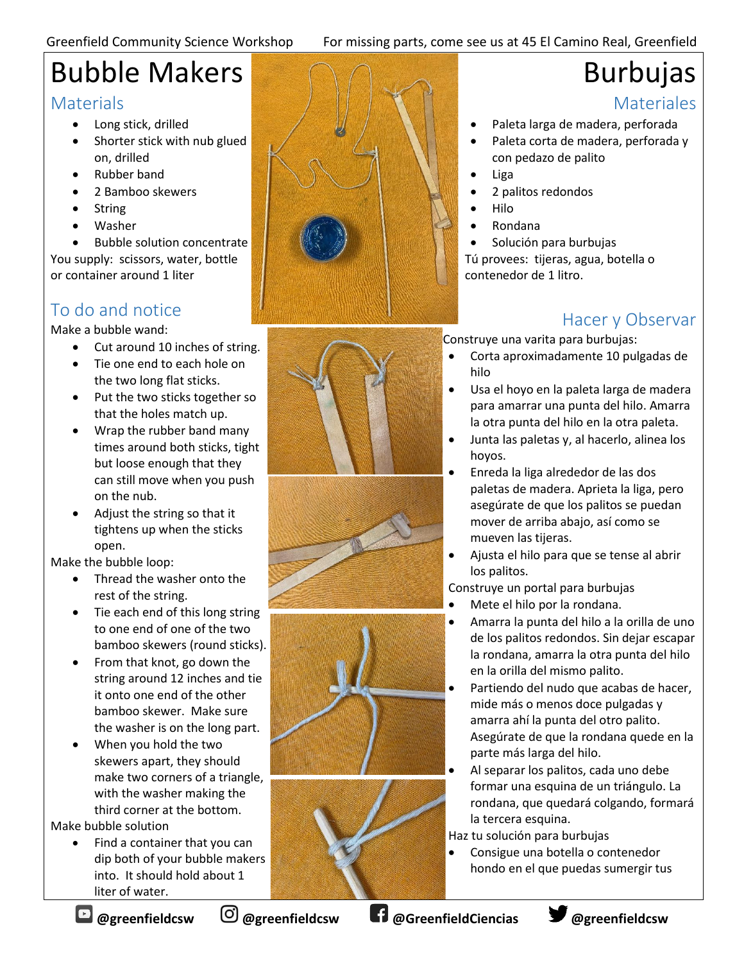#### Greenfield Community Science Workshop For missing parts, come see us at 45 El Camino Real, Greenfield

## Bubble Makers

#### **Materials**

- Long stick, drilled
- Shorter stick with nub glued on, drilled
- Rubber band
- 2 Bamboo skewers
- String
- Washer

Bubble solution concentrate You supply: scissors, water, bottle or container around 1 liter

### To do and notice

Make a bubble wand:

- Cut around 10 inches of string.
- Tie one end to each hole on the two long flat sticks.
- Put the two sticks together so that the holes match up.
- Wrap the rubber band many times around both sticks, tight but loose enough that they can still move when you push on the nub.
- Adjust the string so that it tightens up when the sticks open.

Make the bubble loop:

- Thread the washer onto the rest of the string.
- Tie each end of this long string to one end of one of the two bamboo skewers (round sticks).
- From that knot, go down the string around 12 inches and tie it onto one end of the other bamboo skewer. Make sure the washer is on the long part.
- When you hold the two skewers apart, they should make two corners of a triangle, with the washer making the third corner at the bottom.

Make bubble solution

• Find a container that you can dip both of your bubble makers into. It should hold about 1 liter of water.











# Burbujas

#### **Materiales**

- Paleta larga de madera, perforada
- Paleta corta de madera, perforada y con pedazo de palito
- Liga
- 2 palitos redondos
- Hilo
- Rondana

• Solución para burbujas Tú provees: tijeras, agua, botella o contenedor de 1 litro.

#### Hacer y Observar

Construye una varita para burbujas:

- Corta aproximadamente 10 pulgadas de hilo
- Usa el hoyo en la paleta larga de madera para amarrar una punta del hilo. Amarra la otra punta del hilo en la otra paleta.
- Junta las paletas y, al hacerlo, alinea los hoyos.
- Enreda la liga alrededor de las dos paletas de madera. Aprieta la liga, pero asegúrate de que los palitos se puedan mover de arriba abajo, así como se mueven las tijeras.
- Ajusta el hilo para que se tense al abrir los palitos.

Construye un portal para burbujas

- Mete el hilo por la rondana.
- Amarra la punta del hilo a la orilla de uno de los palitos redondos. Sin dejar escapar la rondana, amarra la otra punta del hilo en la orilla del mismo palito.
- Partiendo del nudo que acabas de hacer, mide más o menos doce pulgadas y amarra ahí la punta del otro palito. Asegúrate de que la rondana quede en la parte más larga del hilo.
- Al separar los palitos, cada uno debe formar una esquina de un triángulo. La rondana, que quedará colgando, formará la tercera esquina.

Haz tu solución para burbujas

• Consigue una botella o contenedor hondo en el que puedas sumergir tus